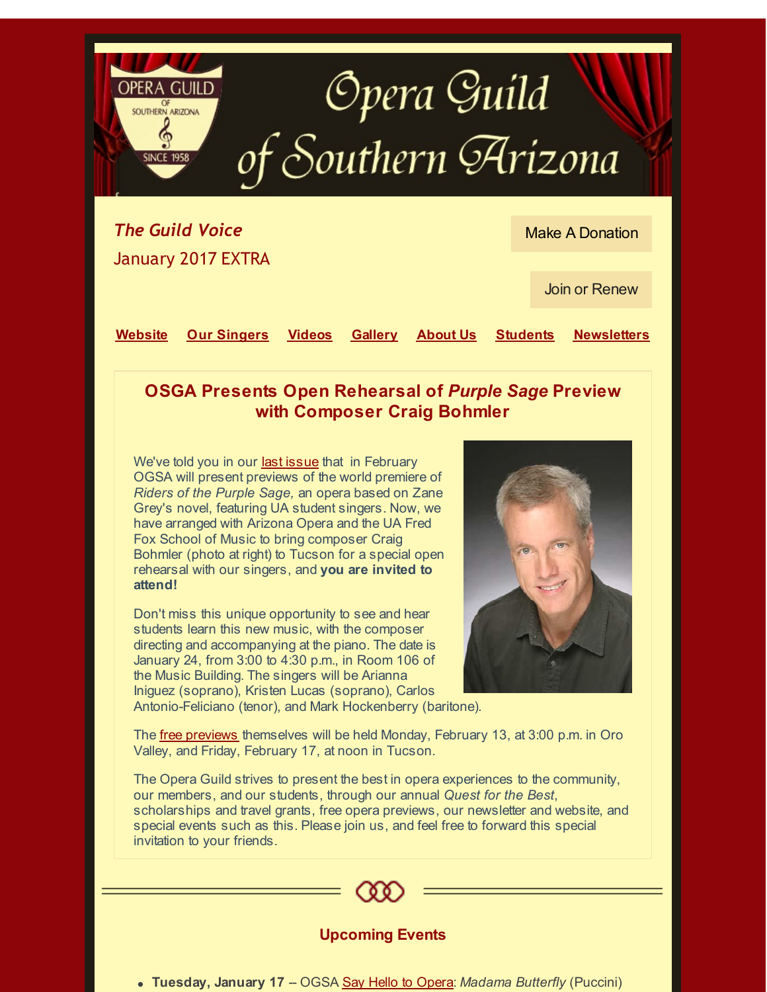

| January 2017 EXTRA                 |  |                          |                    |
|------------------------------------|--|--------------------------|--------------------|
|                                    |  |                          | Join or Renew      |
| Website Our Singers Videos Gallery |  | <b>About Us</b> Students | <b>Newsletters</b> |

## **OSGA Presents Open Rehearsal of** *Purple Sage* **Preview with Composer Craig Bohmler**

We've told you in our last [issue](http://r20.rs6.net/tn.jsp?f=001VzSvo-Z7bBzc2e0HdP4R0PxjPRlvRo5RlBoiTPp-uTH13fO7uH7wnM3gqle0LrexQsZuaop2oMA2B84FJmKoO56MYna-DnAGRehM200i3ECOsx0TgTGC_22CPmBb74vRHdRp3zGsfT1dGz06L9btCnc12JPQgeoi9GK8l-nNY4secmejvzrbnCgJw4v-F_uayVzyPyo0XNfMsCBP24k3EWyGcW3lxShF&c=&ch=) that in February OGSA will present previews of the world premiere of *Riders of the Purple Sage,* an opera based on Zane Grey's novel, featuring UA student singers. Now, we have arranged with Arizona Opera and the UA Fred Fox School of Music to bring composer Craig Bohmler (photo at right) to Tucson for a special open rehearsal with our singers, and **you are invited to attend!**

Don't miss this unique opportunity to see and hear students learn this new music, with the composer directing and accompanying at the piano. The date is January 24, from 3:00 to 4:30 p.m., in Room 106 of the Music Building. The singers will be Arianna Iniguez (soprano), Kristen Lucas (soprano), Carlos



Antonio-Feliciano (tenor), and Mark Hockenberry (baritone).

The free [previews](http://r20.rs6.net/tn.jsp?f=001VzSvo-Z7bBzc2e0HdP4R0PxjPRlvRo5RlBoiTPp-uTH13fO7uH7wnKGDWHdDlI7hbBqTPmvBXsaqOfwRA4uHowNC_deI2vPLrq5uFS0GRN6tQrHZRDDmBeriSaj0iqxu_1yQhpKMHIqNm00gJpCH0is1Ngm-vm4N&c=&ch=) themselves will be held Monday, February 13, at 3:00 p.m. in Oro Valley, and Friday, February 17, at noon in Tucson.

The Opera Guild strives to present the best in opera experiences to the community, our members, and our students, through our annual *Quest for the Best*, scholarships and travel grants, free opera previews, our newsletter and website, and special events such as this. Please join us, and feel free to forward this special invitation to your friends.



## **Upcoming Events**

**Tuesday, January 17** -- OGSA Say Hello to [Opera](http://r20.rs6.net/tn.jsp?f=001VzSvo-Z7bBzc2e0HdP4R0PxjPRlvRo5RlBoiTPp-uTH13fO7uH7wnKONaVeeMN9wQi-TO7tSnnwfyXHEtouYf5XZSSRknymfdgCxReUM2quNhTszCihzsEyt0rE-I8vV__3go91AGMbSAHLo9PLkJQ4ufrpmJAFJQK_UUyO16sGsJGji9wQGLw==&c=&ch=): *Madama Butterfly* (Puccini)